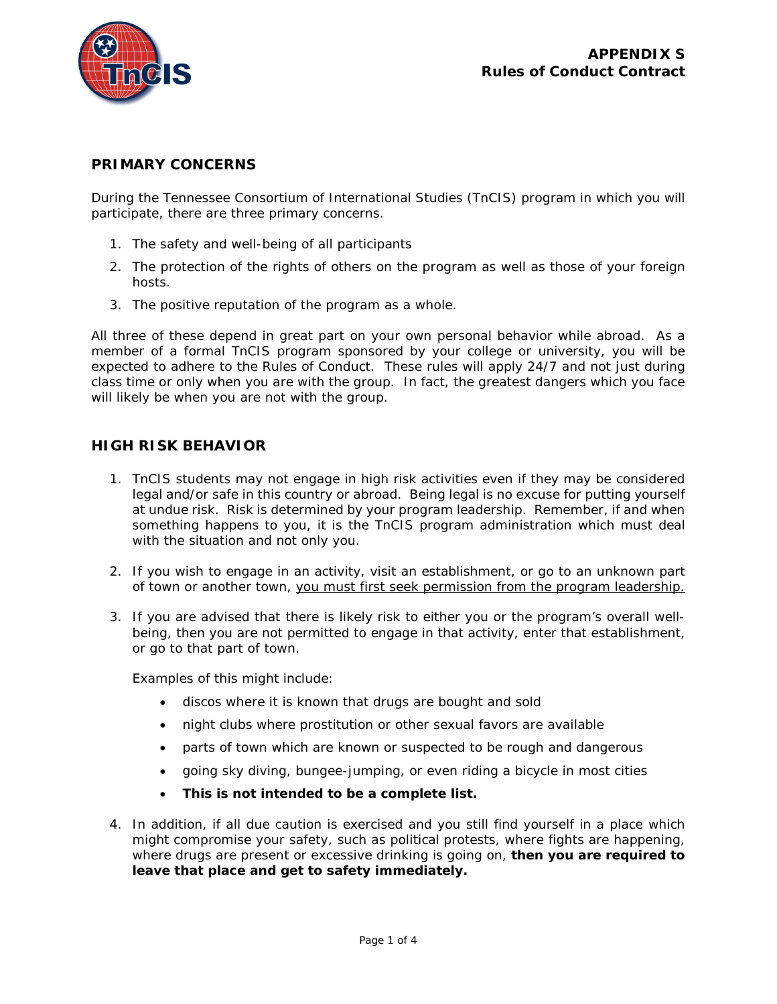

## **PRIMARY CONCERNS**

During the Tennessee Consortium of International Studies (TnCIS) program in which you will participate, there are three primary concerns.

- 1. The safety and well-being of all participants
- 2. The protection of the rights of others on the program as well as those of your foreign hosts.
- 3. The positive reputation of the program as a whole.

All three of these depend in great part on your own personal behavior while abroad. As a member of a formal TnCIS program sponsored by your college or university, you will be expected to adhere to the Rules of Conduct. These rules will apply 24/7 and not just during class time or only when you are with the group. In fact, the greatest dangers which you face will likely be when you are not with the group.

## **HIGH RISK BEHAVIOR**

- 1. TnCIS students may not engage in high risk activities even if they may be considered legal and/or safe in this country or abroad. Being legal is no excuse for putting yourself at undue risk. Risk is determined by your program leadership. Remember, if and when something happens to you, it is the TnCIS program administration which must deal with the situation and not only you.
- 2. If you wish to engage in an activity, visit an establishment, or go to an unknown part of town or another town, you must first seek permission from the program leadership.
- 3. If you are advised that there is likely risk to either you or the program's overall wellbeing, then you are not permitted to engage in that activity, enter that establishment, or go to that part of town.

Examples of this might include:

- discos where it is known that drugs are bought and sold
- night clubs where prostitution or other sexual favors are available
- parts of town which are known or suspected to be rough and dangerous
- going sky diving, bungee-jumping, or even riding a bicycle in most cities
- **This is not intended to be a complete list.**
- 4. In addition, if all due caution is exercised and you still find yourself in a place which might compromise your safety, such as political protests, where fights are happening, where drugs are present or excessive drinking is going on, **then you are required to leave that place and get to safety immediately.**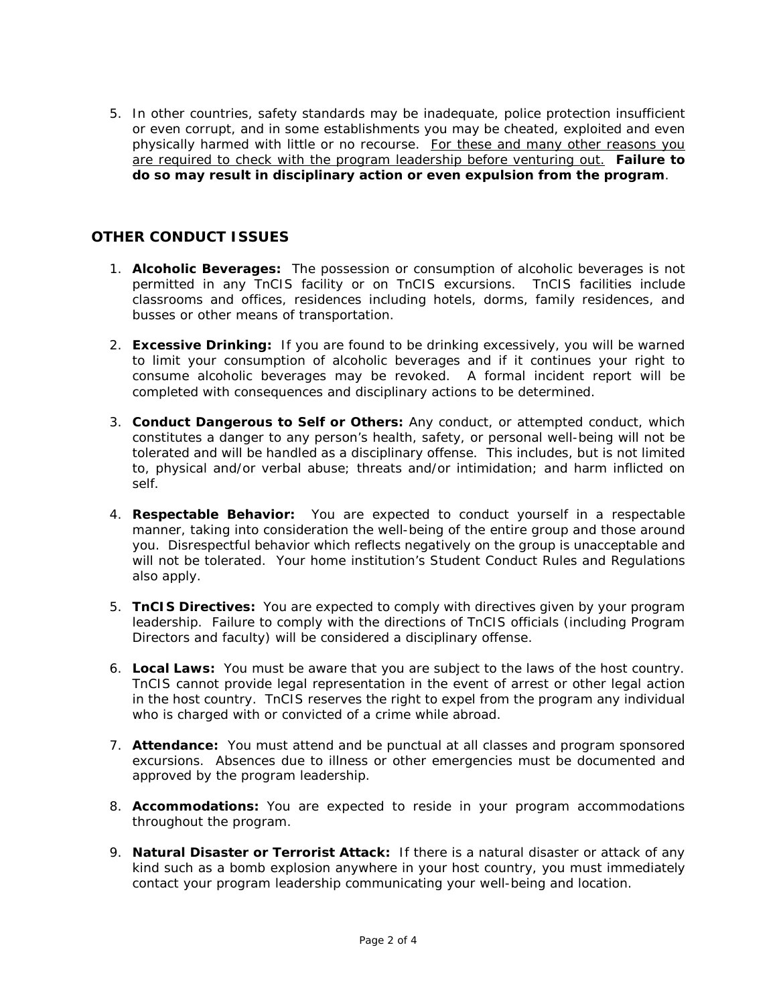5. In other countries, safety standards may be inadequate, police protection insufficient or even corrupt, and in some establishments you may be cheated, exploited and even physically harmed with little or no recourse. For these and many other reasons you are required to check with the program leadership before venturing out. **Failure to do so may result in disciplinary action or even expulsion from the program**.

## **OTHER CONDUCT ISSUES**

- 1. **Alcoholic Beverages:** The possession or consumption of alcoholic beverages is not permitted in any TnCIS facility or on TnCIS excursions. TnCIS facilities include classrooms and offices, residences including hotels, dorms, family residences, and busses or other means of transportation.
- 2. **Excessive Drinking:** If you are found to be drinking excessively, you will be warned to limit your consumption of alcoholic beverages and if it continues your right to consume alcoholic beverages may be revoked. A formal incident report will be completed with consequences and disciplinary actions to be determined.
- 3. **Conduct Dangerous to Self or Others:** Any conduct, or attempted conduct, which constitutes a danger to any person's health, safety, or personal well-being will not be tolerated and will be handled as a disciplinary offense. This includes, but is not limited to, physical and/or verbal abuse; threats and/or intimidation; and harm inflicted on self.
- 4. **Respectable Behavior:** You are expected to conduct yourself in a respectable manner, taking into consideration the well-being of the entire group and those around you. Disrespectful behavior which reflects negatively on the group is unacceptable and will not be tolerated. Your home institution's Student Conduct Rules and Regulations also apply.
- 5. **TnCIS Directives:** You are expected to comply with directives given by your program leadership. Failure to comply with the directions of TnCIS officials (including Program Directors and faculty) will be considered a disciplinary offense.
- 6. **Local Laws:** You must be aware that you are subject to the laws of the host country. TnCIS cannot provide legal representation in the event of arrest or other legal action in the host country. TnCIS reserves the right to expel from the program any individual who is charged with or convicted of a crime while abroad.
- 7. **Attendance:** You must attend and be punctual at all classes and program sponsored excursions. Absences due to illness or other emergencies must be documented and approved by the program leadership.
- 8. **Accommodations:** You are expected to reside in your program accommodations throughout the program.
- 9. **Natural Disaster or Terrorist Attack:** If there is a natural disaster or attack of any kind such as a bomb explosion anywhere in your host country, you must immediately contact your program leadership communicating your well-being and location.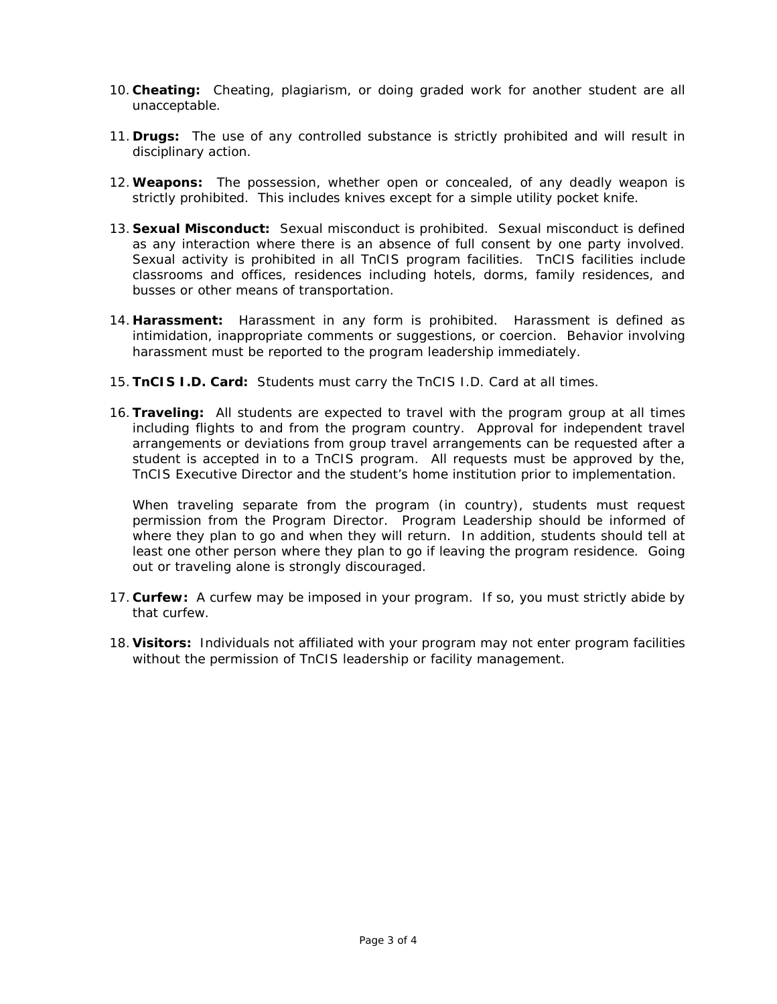- 10. **Cheating:** Cheating, plagiarism, or doing graded work for another student are all unacceptable.
- 11. **Drugs:** The use of any controlled substance is strictly prohibited and will result in disciplinary action.
- 12.**Weapons:** The possession, whether open or concealed, of any deadly weapon is strictly prohibited. This includes knives except for a simple utility pocket knife.
- 13. **Sexual Misconduct:** Sexual misconduct is prohibited. Sexual misconduct is defined as any interaction where there is an absence of full consent by one party involved. Sexual activity is prohibited in all TnCIS program facilities. TnCIS facilities include classrooms and offices, residences including hotels, dorms, family residences, and busses or other means of transportation.
- 14. **Harassment:** Harassment in any form is prohibited. Harassment is defined as intimidation, inappropriate comments or suggestions, or coercion. Behavior involving harassment must be reported to the program leadership immediately.
- 15.**TnCIS I.D. Card:** Students must carry the TnCIS I.D. Card at all times.
- 16.**Traveling:** All students are expected to travel with the program group at all times including flights to and from the program country. Approval for independent travel arrangements or deviations from group travel arrangements can be requested after a student is accepted in to a TnCIS program. All requests must be approved by the, TnCIS Executive Director and the student's home institution prior to implementation.

When traveling separate from the program (in country), students must request permission from the Program Director. Program Leadership should be informed of where they plan to go and when they will return. In addition, students should tell at least one other person where they plan to go if leaving the program residence. Going out or traveling alone is strongly discouraged.

- 17. **Curfew:** A curfew may be imposed in your program. If so, you must strictly abide by that curfew.
- 18. **Visitors:** Individuals not affiliated with your program may not enter program facilities without the permission of TnCIS leadership or facility management.